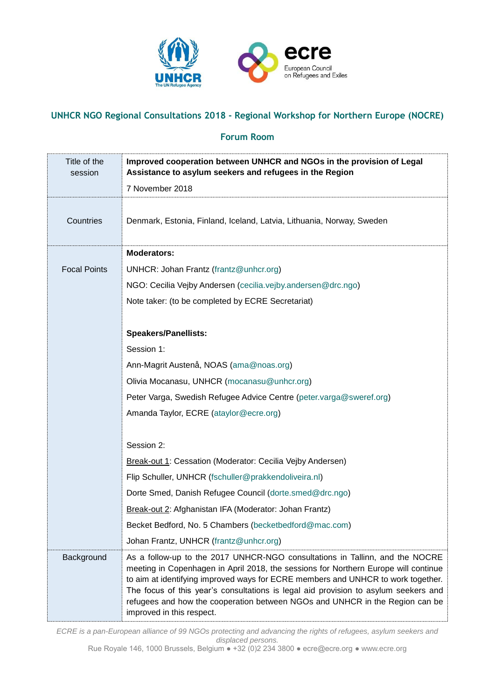

## **UNHCR NGO Regional Consultations 2018 - Regional Workshop for Northern Europe (NOCRE)**

## **Forum Room**

| Title of the<br>session | Improved cooperation between UNHCR and NGOs in the provision of Legal<br>Assistance to asylum seekers and refugees in the Region                                                                                                                                                                                                                                                                                                                            |  |  |
|-------------------------|-------------------------------------------------------------------------------------------------------------------------------------------------------------------------------------------------------------------------------------------------------------------------------------------------------------------------------------------------------------------------------------------------------------------------------------------------------------|--|--|
|                         | 7 November 2018                                                                                                                                                                                                                                                                                                                                                                                                                                             |  |  |
| Countries               | Denmark, Estonia, Finland, Iceland, Latvia, Lithuania, Norway, Sweden                                                                                                                                                                                                                                                                                                                                                                                       |  |  |
|                         | <b>Moderators:</b>                                                                                                                                                                                                                                                                                                                                                                                                                                          |  |  |
| <b>Focal Points</b>     | UNHCR: Johan Frantz (frantz@unhcr.org)                                                                                                                                                                                                                                                                                                                                                                                                                      |  |  |
|                         | NGO: Cecilia Vejby Andersen (cecilia.vejby.andersen@drc.ngo)                                                                                                                                                                                                                                                                                                                                                                                                |  |  |
|                         | Note taker: (to be completed by ECRE Secretariat)                                                                                                                                                                                                                                                                                                                                                                                                           |  |  |
|                         |                                                                                                                                                                                                                                                                                                                                                                                                                                                             |  |  |
|                         | <b>Speakers/Panellists:</b>                                                                                                                                                                                                                                                                                                                                                                                                                                 |  |  |
|                         | Session 1:                                                                                                                                                                                                                                                                                                                                                                                                                                                  |  |  |
|                         | Ann-Magrit Austenå, NOAS (ama@noas.org)                                                                                                                                                                                                                                                                                                                                                                                                                     |  |  |
|                         | Olivia Mocanasu, UNHCR (mocanasu@unhcr.org)                                                                                                                                                                                                                                                                                                                                                                                                                 |  |  |
|                         | Peter Varga, Swedish Refugee Advice Centre (peter.varga@sweref.org)                                                                                                                                                                                                                                                                                                                                                                                         |  |  |
|                         | Amanda Taylor, ECRE (ataylor@ecre.org)                                                                                                                                                                                                                                                                                                                                                                                                                      |  |  |
|                         |                                                                                                                                                                                                                                                                                                                                                                                                                                                             |  |  |
|                         | Session 2:                                                                                                                                                                                                                                                                                                                                                                                                                                                  |  |  |
|                         | Break-out 1: Cessation (Moderator: Cecilia Vejby Andersen)                                                                                                                                                                                                                                                                                                                                                                                                  |  |  |
|                         | Flip Schuller, UNHCR (fschuller@prakkendoliveira.nl)                                                                                                                                                                                                                                                                                                                                                                                                        |  |  |
|                         | Dorte Smed, Danish Refugee Council (dorte.smed@drc.ngo)                                                                                                                                                                                                                                                                                                                                                                                                     |  |  |
|                         | Break-out 2: Afghanistan IFA (Moderator: Johan Frantz)                                                                                                                                                                                                                                                                                                                                                                                                      |  |  |
|                         | Becket Bedford, No. 5 Chambers (becketbedford@mac.com)                                                                                                                                                                                                                                                                                                                                                                                                      |  |  |
|                         | Johan Frantz, UNHCR (frantz@unhcr.org)                                                                                                                                                                                                                                                                                                                                                                                                                      |  |  |
| Background              | As a follow-up to the 2017 UNHCR-NGO consultations in Tallinn, and the NOCRE<br>meeting in Copenhagen in April 2018, the sessions for Northern Europe will continue<br>to aim at identifying improved ways for ECRE members and UNHCR to work together.<br>The focus of this year's consultations is legal aid provision to asylum seekers and<br>refugees and how the cooperation between NGOs and UNHCR in the Region can be<br>improved in this respect. |  |  |

*ECRE is a pan-European alliance of 99 NGOs protecting and advancing the rights of refugees, asylum seekers and displaced persons.*

Rue Royale 146, 1000 Brussels, Belgium ● +32 (0)2 234 3800 ● ecre@ecre.org ● www.ecre.org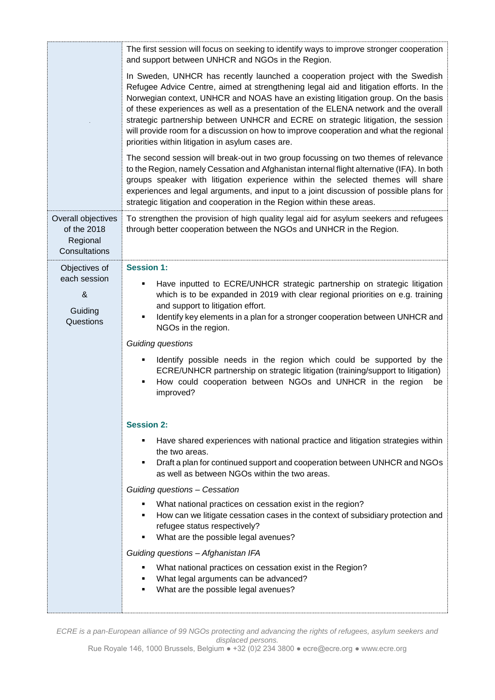|                                                                | The first session will focus on seeking to identify ways to improve stronger cooperation<br>and support between UNHCR and NGOs in the Region.                                                                                                                                                                                                                                                                                                                                                                                                                                           |  |  |
|----------------------------------------------------------------|-----------------------------------------------------------------------------------------------------------------------------------------------------------------------------------------------------------------------------------------------------------------------------------------------------------------------------------------------------------------------------------------------------------------------------------------------------------------------------------------------------------------------------------------------------------------------------------------|--|--|
|                                                                | In Sweden, UNHCR has recently launched a cooperation project with the Swedish<br>Refugee Advice Centre, aimed at strengthening legal aid and litigation efforts. In the<br>Norwegian context, UNHCR and NOAS have an existing litigation group. On the basis<br>of these experiences as well as a presentation of the ELENA network and the overall<br>strategic partnership between UNHCR and ECRE on strategic litigation, the session<br>will provide room for a discussion on how to improve cooperation and what the regional<br>priorities within litigation in asylum cases are. |  |  |
|                                                                | The second session will break-out in two group focussing on two themes of relevance<br>to the Region, namely Cessation and Afghanistan internal flight alternative (IFA). In both<br>groups speaker with litigation experience within the selected themes will share<br>experiences and legal arguments, and input to a joint discussion of possible plans for<br>strategic litigation and cooperation in the Region within these areas.                                                                                                                                                |  |  |
| Overall objectives<br>of the 2018<br>Regional<br>Consultations | To strengthen the provision of high quality legal aid for asylum seekers and refugees<br>through better cooperation between the NGOs and UNHCR in the Region.                                                                                                                                                                                                                                                                                                                                                                                                                           |  |  |
| Objectives of                                                  | <b>Session 1:</b>                                                                                                                                                                                                                                                                                                                                                                                                                                                                                                                                                                       |  |  |
| each session<br>&<br>Guiding<br>Questions                      | Have inputted to ECRE/UNHCR strategic partnership on strategic litigation<br>which is to be expanded in 2019 with clear regional priorities on e.g. training<br>and support to litigation effort.<br>Identify key elements in a plan for a stronger cooperation between UNHCR and<br>NGOs in the region.                                                                                                                                                                                                                                                                                |  |  |
|                                                                | <b>Guiding questions</b>                                                                                                                                                                                                                                                                                                                                                                                                                                                                                                                                                                |  |  |
|                                                                | Identify possible needs in the region which could be supported by the<br>٠<br>ECRE/UNHCR partnership on strategic litigation (training/support to litigation)<br>How could cooperation between NGOs and UNHCR in the region<br>be<br>improved?                                                                                                                                                                                                                                                                                                                                          |  |  |
|                                                                | <b>Session 2:</b>                                                                                                                                                                                                                                                                                                                                                                                                                                                                                                                                                                       |  |  |
|                                                                | Have shared experiences with national practice and litigation strategies within<br>the two areas.<br>Draft a plan for continued support and cooperation between UNHCR and NGOs<br>as well as between NGOs within the two areas.                                                                                                                                                                                                                                                                                                                                                         |  |  |
|                                                                | Guiding questions - Cessation                                                                                                                                                                                                                                                                                                                                                                                                                                                                                                                                                           |  |  |
|                                                                | What national practices on cessation exist in the region?<br>How can we litigate cessation cases in the context of subsidiary protection and<br>refugee status respectively?<br>What are the possible legal avenues?<br>٠                                                                                                                                                                                                                                                                                                                                                               |  |  |
|                                                                | Guiding questions - Afghanistan IFA                                                                                                                                                                                                                                                                                                                                                                                                                                                                                                                                                     |  |  |
|                                                                | What national practices on cessation exist in the Region?<br>What legal arguments can be advanced?<br>What are the possible legal avenues?<br>٠                                                                                                                                                                                                                                                                                                                                                                                                                                         |  |  |
|                                                                |                                                                                                                                                                                                                                                                                                                                                                                                                                                                                                                                                                                         |  |  |

*ECRE is a pan-European alliance of 99 NGOs protecting and advancing the rights of refugees, asylum seekers and displaced persons.* Rue Royale 146, 1000 Brussels, Belgium ● +32 (0)2 234 3800 ● ecre@ecre.org ● www.ecre.org